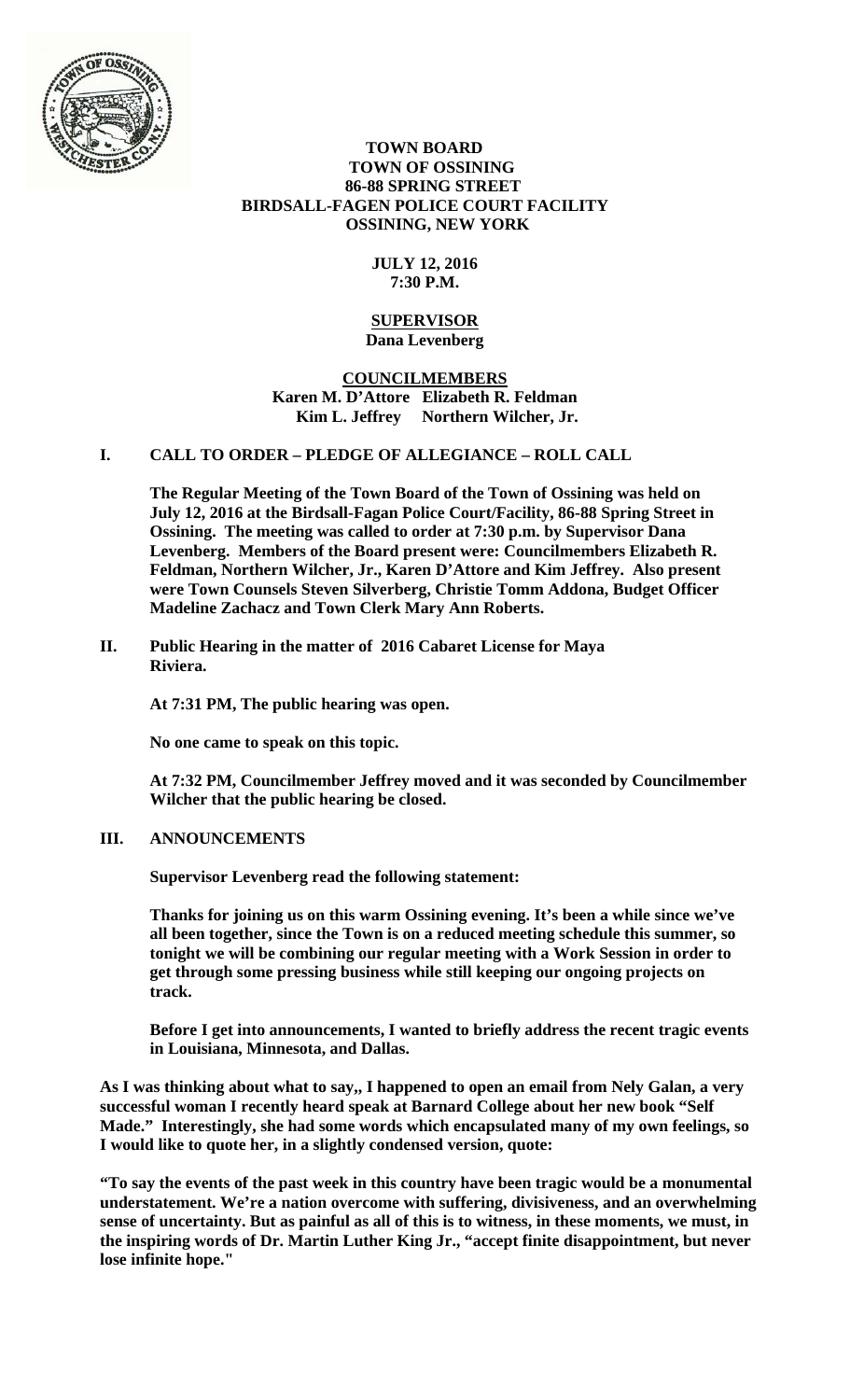

#### **TOWN BOARD TOWN OF OSSINING 86-88 SPRING STREET BIRDSALL-FAGEN POLICE COURT FACILITY OSSINING, NEW YORK**

# **JULY 12, 2016 7:30 P.M.**

#### **SUPERVISOR Dana Levenberg**

## **COUNCILMEMBERS Karen M. D'Attore Elizabeth R. Feldman**  Kim L. Jeffrey Northern Wilcher, Jr.

# **I. CALL TO ORDER – PLEDGE OF ALLEGIANCE – ROLL CALL**

**The Regular Meeting of the Town Board of the Town of Ossining was held on July 12, 2016 at the Birdsall-Fagan Police Court/Facility, 86-88 Spring Street in Ossining. The meeting was called to order at 7:30 p.m. by Supervisor Dana Levenberg. Members of the Board present were: Councilmembers Elizabeth R. Feldman, Northern Wilcher, Jr., Karen D'Attore and Kim Jeffrey. Also present were Town Counsels Steven Silverberg, Christie Tomm Addona, Budget Officer Madeline Zachacz and Town Clerk Mary Ann Roberts.** 

**II. Public Hearing in the matter of 2016 Cabaret License for Maya Riviera.** 

**At 7:31 PM, The public hearing was open.** 

**No one came to speak on this topic.** 

**At 7:32 PM, Councilmember Jeffrey moved and it was seconded by Councilmember Wilcher that the public hearing be closed.** 

# **III. ANNOUNCEMENTS**

**Supervisor Levenberg read the following statement:** 

**Thanks for joining us on this warm Ossining evening. It's been a while since we've all been together, since the Town is on a reduced meeting schedule this summer, so tonight we will be combining our regular meeting with a Work Session in order to get through some pressing business while still keeping our ongoing projects on track.** 

**Before I get into announcements, I wanted to briefly address the recent tragic events in Louisiana, Minnesota, and Dallas.** 

**As I was thinking about what to say,, I happened to open an email from Nely Galan, a very successful woman I recently heard speak at Barnard College about her new book "Self Made." Interestingly, she had some words which encapsulated many of my own feelings, so I would like to quote her, in a slightly condensed version, quote:** 

**"To say the events of the past week in this country have been tragic would be a monumental understatement. We're a nation overcome with suffering, divisiveness, and an overwhelming sense of uncertainty. But as painful as all of this is to witness, in these moments, we must, in the inspiring words of Dr. Martin Luther King Jr., "accept finite disappointment, but never lose infinite hope."**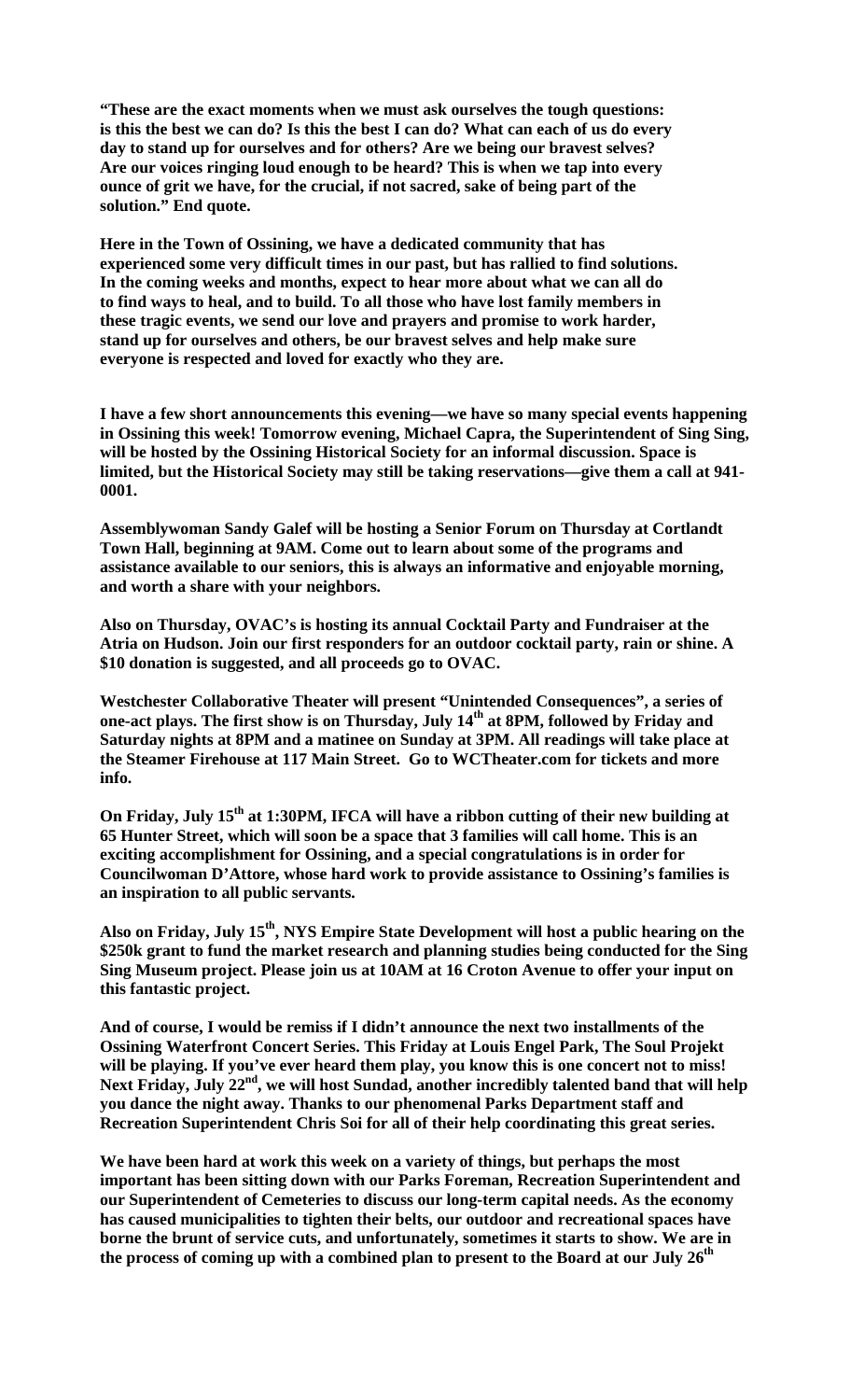**"These are the exact moments when we must ask ourselves the tough questions: is this the best we can do? Is this the best I can do? What can each of us do every day to stand up for ourselves and for others? Are we being our bravest selves? Are our voices ringing loud enough to be heard? This is when we tap into every ounce of grit we have, for the crucial, if not sacred, sake of being part of the solution." End quote.** 

**Here in the Town of Ossining, we have a dedicated community that has experienced some very difficult times in our past, but has rallied to find solutions. In the coming weeks and months, expect to hear more about what we can all do to find ways to heal, and to build. To all those who have lost family members in these tragic events, we send our love and prayers and promise to work harder, stand up for ourselves and others, be our bravest selves and help make sure everyone is respected and loved for exactly who they are.** 

**I have a few short announcements this evening—we have so many special events happening in Ossining this week! Tomorrow evening, Michael Capra, the Superintendent of Sing Sing, will be hosted by the Ossining Historical Society for an informal discussion. Space is limited, but the Historical Society may still be taking reservations—give them a call at 941- 0001.** 

**Assemblywoman Sandy Galef will be hosting a Senior Forum on Thursday at Cortlandt Town Hall, beginning at 9AM. Come out to learn about some of the programs and assistance available to our seniors, this is always an informative and enjoyable morning, and worth a share with your neighbors.** 

**Also on Thursday, OVAC's is hosting its annual Cocktail Party and Fundraiser at the Atria on Hudson. Join our first responders for an outdoor cocktail party, rain or shine. A \$10 donation is suggested, and all proceeds go to OVAC.** 

**Westchester Collaborative Theater will present "Unintended Consequences", a series of**  one-act plays. The first show is on Thursday, July 14<sup>th</sup> at 8PM, followed by Friday and **Saturday nights at 8PM and a matinee on Sunday at 3PM. All readings will take place at the Steamer Firehouse at 117 Main Street. Go to WCTheater.com for tickets and more info.** 

**On Friday, July 15th at 1:30PM, IFCA will have a ribbon cutting of their new building at 65 Hunter Street, which will soon be a space that 3 families will call home. This is an exciting accomplishment for Ossining, and a special congratulations is in order for Councilwoman D'Attore, whose hard work to provide assistance to Ossining's families is an inspiration to all public servants.** 

**Also on Friday, July 15th, NYS Empire State Development will host a public hearing on the \$250k grant to fund the market research and planning studies being conducted for the Sing Sing Museum project. Please join us at 10AM at 16 Croton Avenue to offer your input on this fantastic project.** 

**And of course, I would be remiss if I didn't announce the next two installments of the Ossining Waterfront Concert Series. This Friday at Louis Engel Park, The Soul Projekt will be playing. If you've ever heard them play, you know this is one concert not to miss!**  Next Friday, July 22<sup>nd</sup>, we will host Sundad, another incredibly talented band that will help **you dance the night away. Thanks to our phenomenal Parks Department staff and Recreation Superintendent Chris Soi for all of their help coordinating this great series.** 

**We have been hard at work this week on a variety of things, but perhaps the most important has been sitting down with our Parks Foreman, Recreation Superintendent and our Superintendent of Cemeteries to discuss our long-term capital needs. As the economy has caused municipalities to tighten their belts, our outdoor and recreational spaces have borne the brunt of service cuts, and unfortunately, sometimes it starts to show. We are in the process of coming up with a combined plan to present to the Board at our July 26th**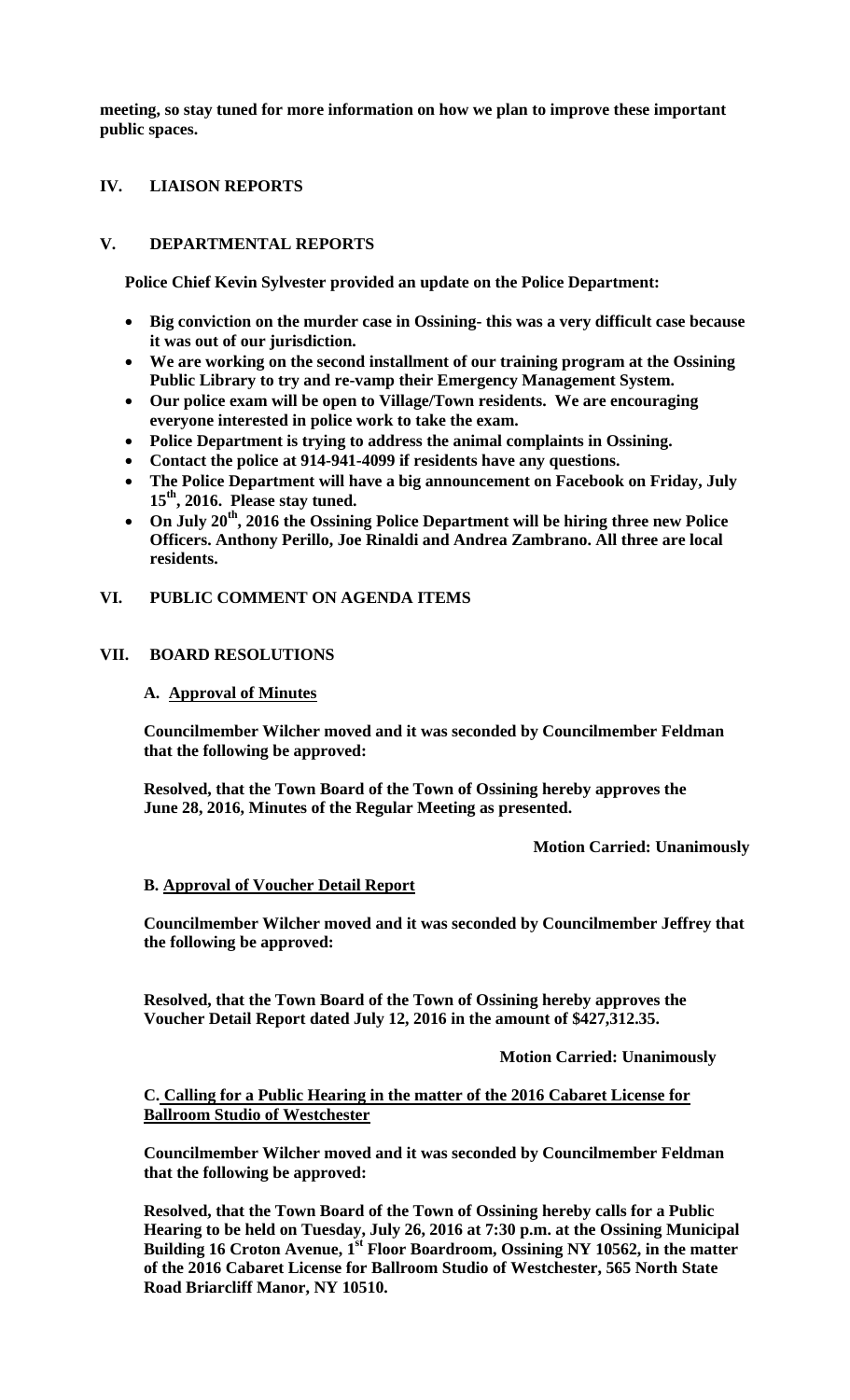**meeting, so stay tuned for more information on how we plan to improve these important public spaces.** 

## **IV. LIAISON REPORTS**

# **V. DEPARTMENTAL REPORTS**

**Police Chief Kevin Sylvester provided an update on the Police Department:** 

- **Big conviction on the murder case in Ossining- this was a very difficult case because it was out of our jurisdiction.**
- **We are working on the second installment of our training program at the Ossining Public Library to try and re-vamp their Emergency Management System.**
- **Our police exam will be open to Village/Town residents. We are encouraging everyone interested in police work to take the exam.**
- **Police Department is trying to address the animal complaints in Ossining.**
- **Contact the police at 914-941-4099 if residents have any questions.**
- **The Police Department will have a big announcement on Facebook on Friday, July 15th, 2016. Please stay tuned.**
- **On July 20th, 2016 the Ossining Police Department will be hiring three new Police Officers. Anthony Perillo, Joe Rinaldi and Andrea Zambrano. All three are local residents.**

## **VI. PUBLIC COMMENT ON AGENDA ITEMS**

## **VII. BOARD RESOLUTIONS**

#### **A. Approval of Minutes**

**Councilmember Wilcher moved and it was seconded by Councilmember Feldman that the following be approved:** 

**Resolved, that the Town Board of the Town of Ossining hereby approves the June 28, 2016, Minutes of the Regular Meeting as presented.** 

 **Motion Carried: Unanimously** 

## **B. Approval of Voucher Detail Report**

**Councilmember Wilcher moved and it was seconded by Councilmember Jeffrey that the following be approved:** 

**Resolved, that the Town Board of the Town of Ossining hereby approves the Voucher Detail Report dated July 12, 2016 in the amount of \$427,312.35.** 

 **Motion Carried: Unanimously** 

## **C. Calling for a Public Hearing in the matter of the 2016 Cabaret License for Ballroom Studio of Westchester**

**Councilmember Wilcher moved and it was seconded by Councilmember Feldman that the following be approved:** 

**Resolved, that the Town Board of the Town of Ossining hereby calls for a Public Hearing to be held on Tuesday, July 26, 2016 at 7:30 p.m. at the Ossining Municipal Building 16 Croton Avenue, 1st Floor Boardroom, Ossining NY 10562, in the matter of the 2016 Cabaret License for Ballroom Studio of Westchester, 565 North State Road Briarcliff Manor, NY 10510.**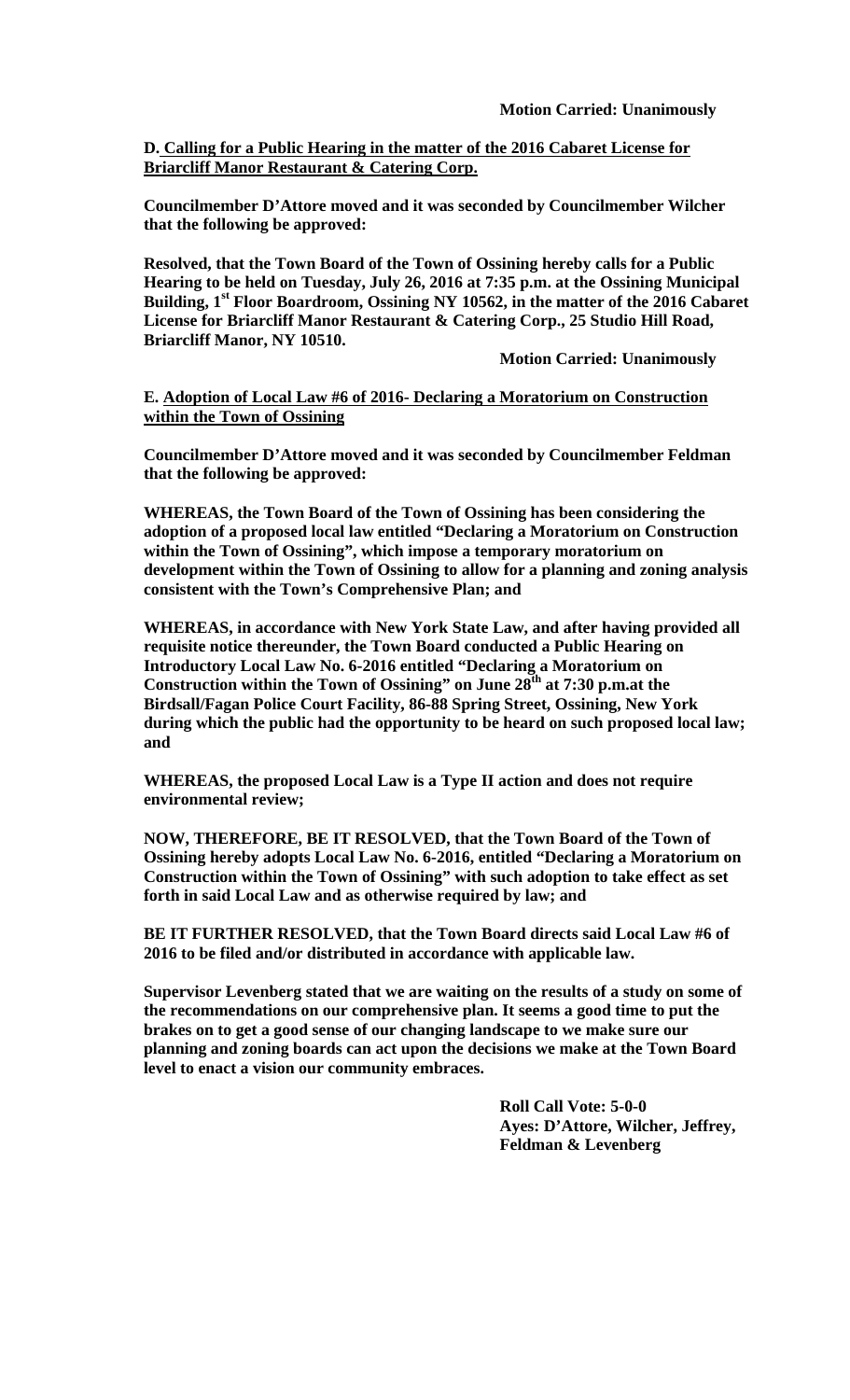**D. Calling for a Public Hearing in the matter of the 2016 Cabaret License for Briarcliff Manor Restaurant & Catering Corp.** 

**Councilmember D'Attore moved and it was seconded by Councilmember Wilcher that the following be approved:** 

**Resolved, that the Town Board of the Town of Ossining hereby calls for a Public Hearing to be held on Tuesday, July 26, 2016 at 7:35 p.m. at the Ossining Municipal Building, 1st Floor Boardroom, Ossining NY 10562, in the matter of the 2016 Cabaret License for Briarcliff Manor Restaurant & Catering Corp., 25 Studio Hill Road, Briarcliff Manor, NY 10510.** 

 **Motion Carried: Unanimously** 

**E. Adoption of Local Law #6 of 2016- Declaring a Moratorium on Construction within the Town of Ossining**

**Councilmember D'Attore moved and it was seconded by Councilmember Feldman that the following be approved:** 

**WHEREAS, the Town Board of the Town of Ossining has been considering the adoption of a proposed local law entitled "Declaring a Moratorium on Construction within the Town of Ossining", which impose a temporary moratorium on development within the Town of Ossining to allow for a planning and zoning analysis consistent with the Town's Comprehensive Plan; and** 

**WHEREAS, in accordance with New York State Law, and after having provided all requisite notice thereunder, the Town Board conducted a Public Hearing on Introductory Local Law No. 6-2016 entitled "Declaring a Moratorium on Construction within the Town of Ossining" on June 28th at 7:30 p.m.at the Birdsall/Fagan Police Court Facility, 86-88 Spring Street, Ossining, New York during which the public had the opportunity to be heard on such proposed local law; and** 

**WHEREAS, the proposed Local Law is a Type II action and does not require environmental review;** 

**NOW, THEREFORE, BE IT RESOLVED, that the Town Board of the Town of Ossining hereby adopts Local Law No. 6-2016, entitled "Declaring a Moratorium on Construction within the Town of Ossining" with such adoption to take effect as set forth in said Local Law and as otherwise required by law; and** 

**BE IT FURTHER RESOLVED, that the Town Board directs said Local Law #6 of 2016 to be filed and/or distributed in accordance with applicable law.** 

**Supervisor Levenberg stated that we are waiting on the results of a study on some of the recommendations on our comprehensive plan. It seems a good time to put the brakes on to get a good sense of our changing landscape to we make sure our planning and zoning boards can act upon the decisions we make at the Town Board level to enact a vision our community embraces.** 

> **Roll Call Vote: 5-0-0 Ayes: D'Attore, Wilcher, Jeffrey, Feldman & Levenberg**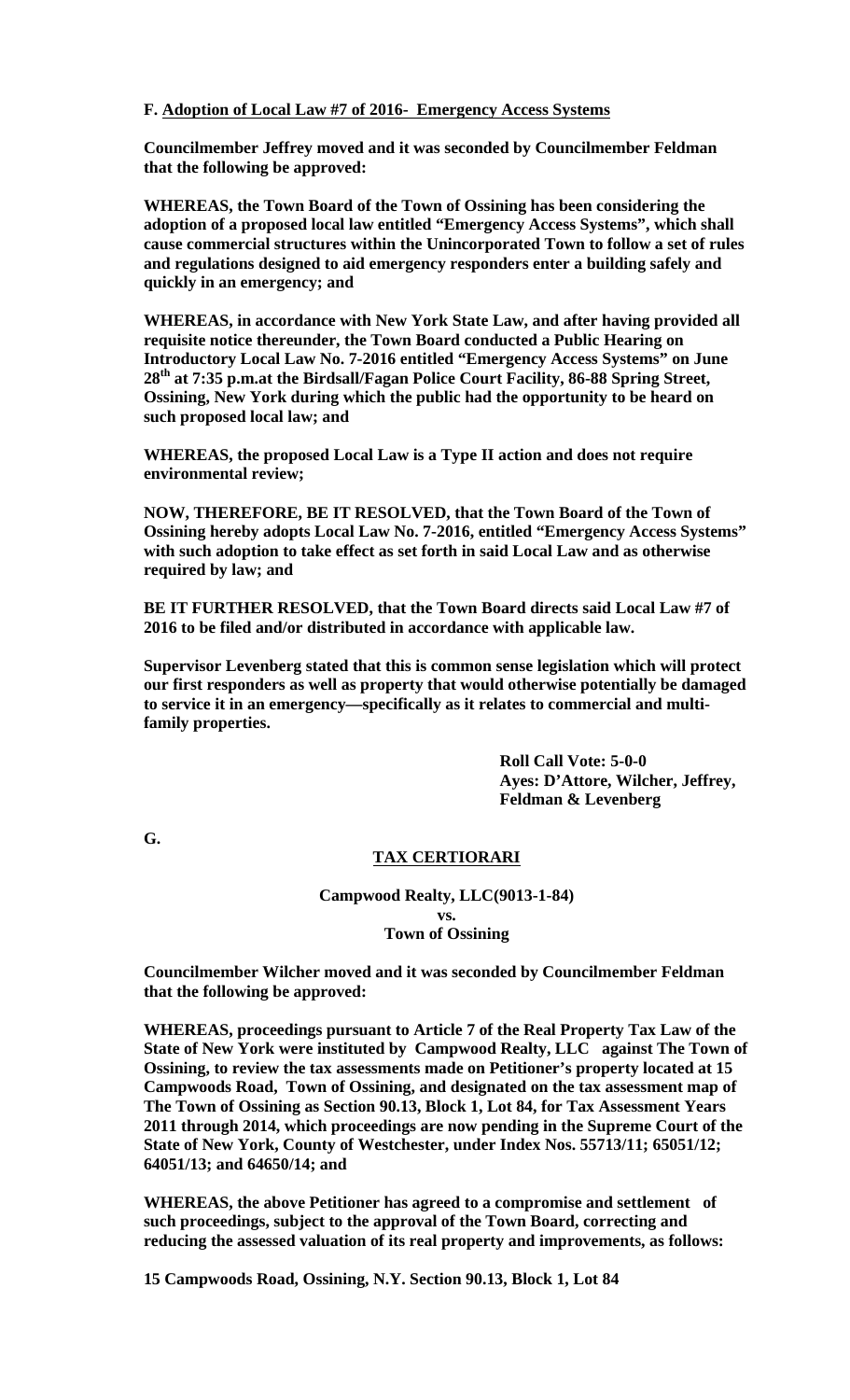#### **F. Adoption of Local Law #7 of 2016- Emergency Access Systems**

**Councilmember Jeffrey moved and it was seconded by Councilmember Feldman that the following be approved:** 

**WHEREAS, the Town Board of the Town of Ossining has been considering the adoption of a proposed local law entitled "Emergency Access Systems", which shall cause commercial structures within the Unincorporated Town to follow a set of rules and regulations designed to aid emergency responders enter a building safely and quickly in an emergency; and** 

**WHEREAS, in accordance with New York State Law, and after having provided all requisite notice thereunder, the Town Board conducted a Public Hearing on Introductory Local Law No. 7-2016 entitled "Emergency Access Systems" on June 28th at 7:35 p.m.at the Birdsall/Fagan Police Court Facility, 86-88 Spring Street, Ossining, New York during which the public had the opportunity to be heard on such proposed local law; and** 

**WHEREAS, the proposed Local Law is a Type II action and does not require environmental review;** 

**NOW, THEREFORE, BE IT RESOLVED, that the Town Board of the Town of Ossining hereby adopts Local Law No. 7-2016, entitled "Emergency Access Systems" with such adoption to take effect as set forth in said Local Law and as otherwise required by law; and** 

**BE IT FURTHER RESOLVED, that the Town Board directs said Local Law #7 of 2016 to be filed and/or distributed in accordance with applicable law.** 

**Supervisor Levenberg stated that this is common sense legislation which will protect our first responders as well as property that would otherwise potentially be damaged to service it in an emergency—specifically as it relates to commercial and multifamily properties.** 

> **Roll Call Vote: 5-0-0 Ayes: D'Attore, Wilcher, Jeffrey, Feldman & Levenberg**

**G.** 

## **TAX CERTIORARI**

#### **Campwood Realty, LLC(9013-1-84)**

#### **vs. Town of Ossining**

**Councilmember Wilcher moved and it was seconded by Councilmember Feldman that the following be approved:** 

**WHEREAS, proceedings pursuant to Article 7 of the Real Property Tax Law of the State of New York were instituted by Campwood Realty, LLC against The Town of Ossining, to review the tax assessments made on Petitioner's property located at 15 Campwoods Road, Town of Ossining, and designated on the tax assessment map of The Town of Ossining as Section 90.13, Block 1, Lot 84, for Tax Assessment Years 2011 through 2014, which proceedings are now pending in the Supreme Court of the State of New York, County of Westchester, under Index Nos. 55713/11; 65051/12; 64051/13; and 64650/14; and** 

**WHEREAS, the above Petitioner has agreed to a compromise and settlement of such proceedings, subject to the approval of the Town Board, correcting and reducing the assessed valuation of its real property and improvements, as follows:** 

**15 Campwoods Road, Ossining, N.Y. Section 90.13, Block 1, Lot 84**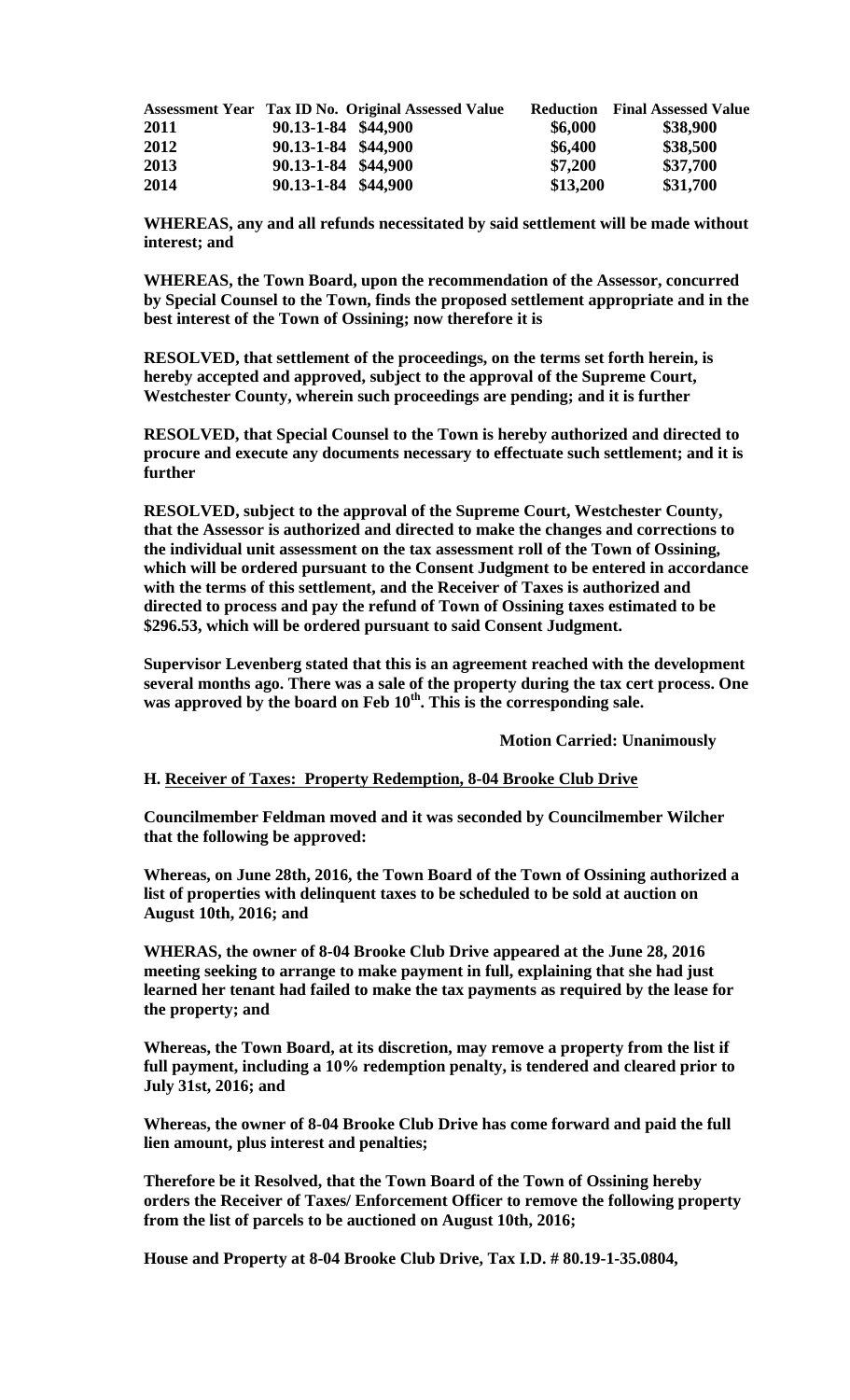|      |                     | Assessment Year Tax ID No. Original Assessed Value |          | <b>Reduction</b> Final Assessed Value |
|------|---------------------|----------------------------------------------------|----------|---------------------------------------|
| 2011 | 90.13-1-84 \$44,900 |                                                    | \$6,000  | \$38,900                              |
| 2012 | 90.13-1-84 \$44,900 |                                                    | \$6,400  | \$38,500                              |
| 2013 | 90.13-1-84 \$44,900 |                                                    | \$7,200  | \$37,700                              |
| 2014 | 90.13-1-84 \$44,900 |                                                    | \$13,200 | \$31,700                              |

**WHEREAS, any and all refunds necessitated by said settlement will be made without interest; and** 

**WHEREAS, the Town Board, upon the recommendation of the Assessor, concurred by Special Counsel to the Town, finds the proposed settlement appropriate and in the best interest of the Town of Ossining; now therefore it is** 

**RESOLVED, that settlement of the proceedings, on the terms set forth herein, is hereby accepted and approved, subject to the approval of the Supreme Court, Westchester County, wherein such proceedings are pending; and it is further** 

**RESOLVED, that Special Counsel to the Town is hereby authorized and directed to procure and execute any documents necessary to effectuate such settlement; and it is further** 

**RESOLVED, subject to the approval of the Supreme Court, Westchester County, that the Assessor is authorized and directed to make the changes and corrections to the individual unit assessment on the tax assessment roll of the Town of Ossining, which will be ordered pursuant to the Consent Judgment to be entered in accordance with the terms of this settlement, and the Receiver of Taxes is authorized and directed to process and pay the refund of Town of Ossining taxes estimated to be \$296.53, which will be ordered pursuant to said Consent Judgment.** 

**Supervisor Levenberg stated that this is an agreement reached with the development several months ago. There was a sale of the property during the tax cert process. One was approved by the board on Feb 10th. This is the corresponding sale.** 

 **Motion Carried: Unanimously** 

## **H. Receiver of Taxes: Property Redemption, 8-04 Brooke Club Drive**

**Councilmember Feldman moved and it was seconded by Councilmember Wilcher that the following be approved:** 

**Whereas, on June 28th, 2016, the Town Board of the Town of Ossining authorized a list of properties with delinquent taxes to be scheduled to be sold at auction on August 10th, 2016; and**

**WHERAS, the owner of 8-04 Brooke Club Drive appeared at the June 28, 2016 meeting seeking to arrange to make payment in full, explaining that she had just learned her tenant had failed to make the tax payments as required by the lease for the property; and**

**Whereas, the Town Board, at its discretion, may remove a property from the list if full payment, including a 10% redemption penalty, is tendered and cleared prior to July 31st, 2016; and**

**Whereas, the owner of 8-04 Brooke Club Drive has come forward and paid the full lien amount, plus interest and penalties;**

**Therefore be it Resolved, that the Town Board of the Town of Ossining hereby orders the Receiver of Taxes/ Enforcement Officer to remove the following property from the list of parcels to be auctioned on August 10th, 2016;**

**House and Property at 8-04 Brooke Club Drive, Tax I.D. # 80.19-1-35.0804,**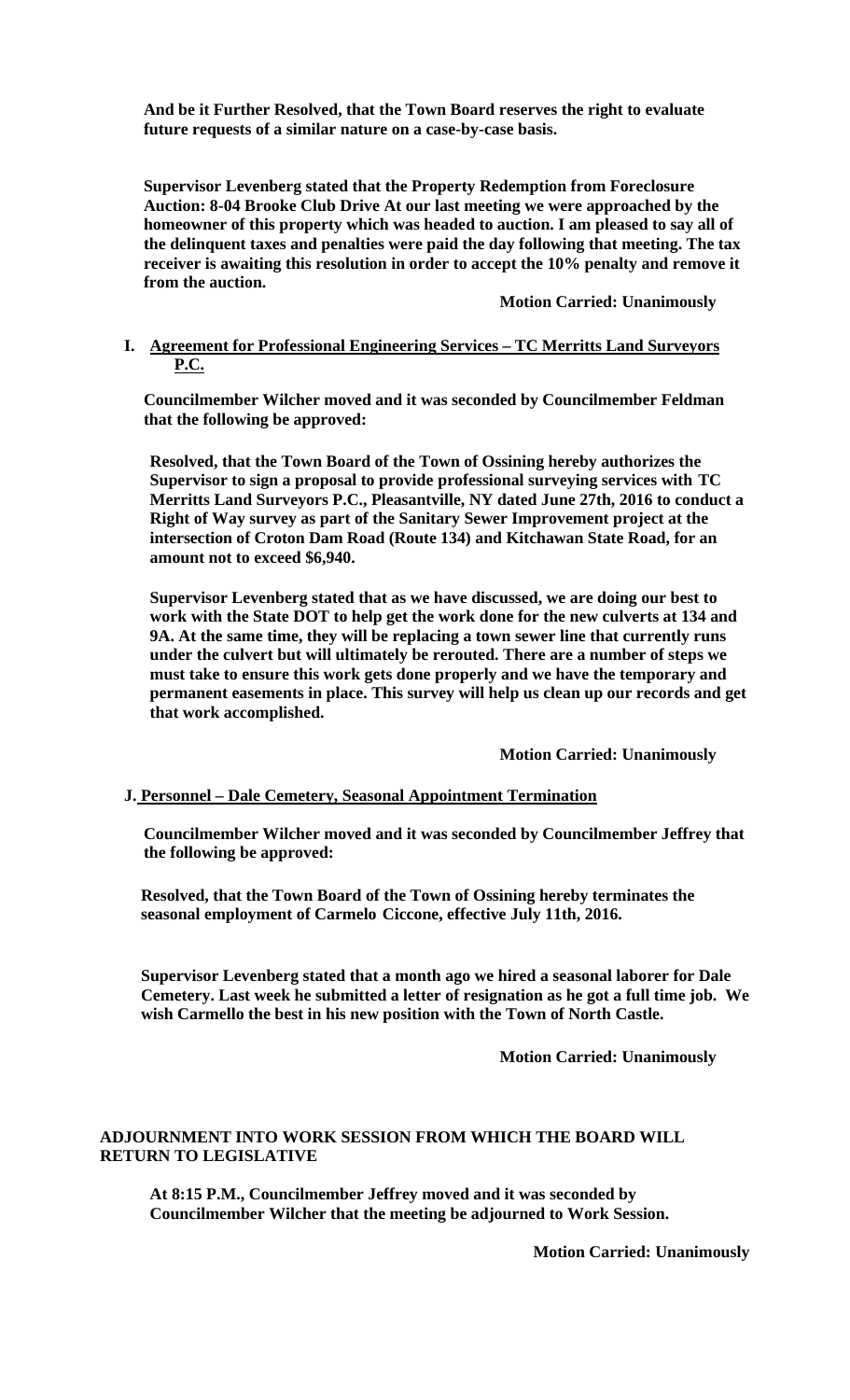**And be it Further Resolved, that the Town Board reserves the right to evaluate future requests of a similar nature on a case-by-case basis.** 

**Supervisor Levenberg stated that the Property Redemption from Foreclosure Auction: 8-04 Brooke Club Drive At our last meeting we were approached by the homeowner of this property which was headed to auction. I am pleased to say all of the delinquent taxes and penalties were paid the day following that meeting. The tax receiver is awaiting this resolution in order to accept the 10% penalty and remove it from the auction.** 

 **Motion Carried: Unanimously** 

# **I. Agreement for Professional Engineering Services – TC Merritts Land Surveyors P.C.**

**Councilmember Wilcher moved and it was seconded by Councilmember Feldman that the following be approved:** 

**Resolved, that the Town Board of the Town of Ossining hereby authorizes the Supervisor to sign a proposal to provide professional surveying services with TC Merritts Land Surveyors P.C., Pleasantville, NY dated June 27th, 2016 to conduct a Right of Way survey as part of the Sanitary Sewer Improvement project at the intersection of Croton Dam Road (Route 134) and Kitchawan State Road, for an amount not to exceed \$6,940.** 

**Supervisor Levenberg stated that as we have discussed, we are doing our best to work with the State DOT to help get the work done for the new culverts at 134 and 9A. At the same time, they will be replacing a town sewer line that currently runs under the culvert but will ultimately be rerouted. There are a number of steps we must take to ensure this work gets done properly and we have the temporary and permanent easements in place. This survey will help us clean up our records and get that work accomplished.** 

 **Motion Carried: Unanimously** 

## **J. Personnel – Dale Cemetery, Seasonal Appointment Termination**

**Councilmember Wilcher moved and it was seconded by Councilmember Jeffrey that the following be approved:** 

**Resolved, that the Town Board of the Town of Ossining hereby terminates the seasonal employment of Carmelo Ciccone, effective July 11th, 2016.** 

**Supervisor Levenberg stated that a month ago we hired a seasonal laborer for Dale Cemetery. Last week he submitted a letter of resignation as he got a full time job. We wish Carmello the best in his new position with the Town of North Castle.** 

 **Motion Carried: Unanimously** 

#### **ADJOURNMENT INTO WORK SESSION FROM WHICH THE BOARD WILL RETURN TO LEGISLATIVE**

**At 8:15 P.M., Councilmember Jeffrey moved and it was seconded by Councilmember Wilcher that the meeting be adjourned to Work Session.** 

**Motion Carried: Unanimously**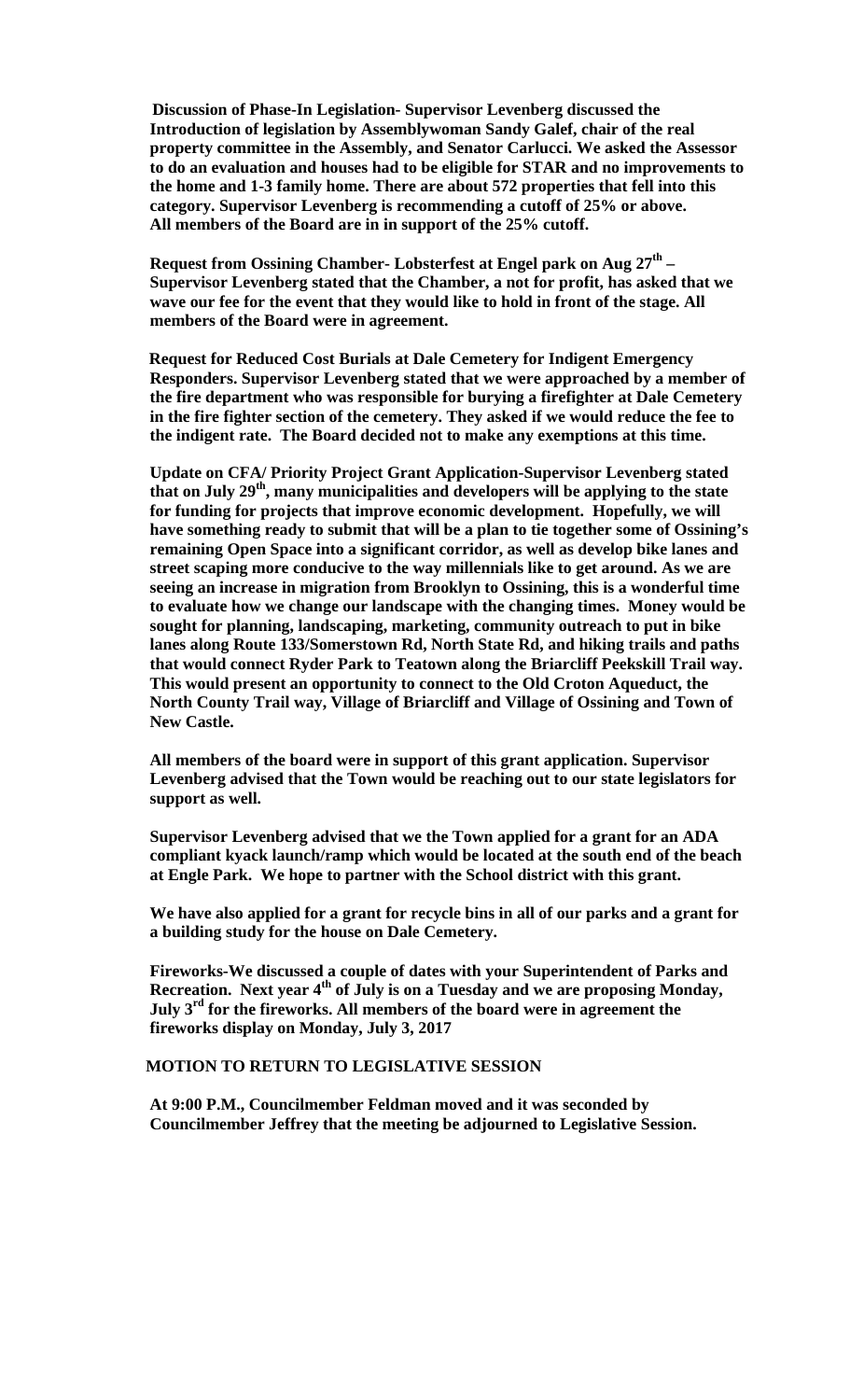**Discussion of Phase-In Legislation- Supervisor Levenberg discussed the Introduction of legislation by Assemblywoman Sandy Galef, chair of the real property committee in the Assembly, and Senator Carlucci. We asked the Assessor to do an evaluation and houses had to be eligible for STAR and no improvements to the home and 1-3 family home. There are about 572 properties that fell into this category. Supervisor Levenberg is recommending a cutoff of 25% or above. All members of the Board are in in support of the 25% cutoff.** 

**Request from Ossining Chamber- Lobsterfest at Engel park on Aug 27<sup>th</sup> – Supervisor Levenberg stated that the Chamber, a not for profit, has asked that we wave our fee for the event that they would like to hold in front of the stage. All members of the Board were in agreement.** 

 **Request for Reduced Cost Burials at Dale Cemetery for Indigent Emergency Responders. Supervisor Levenberg stated that we were approached by a member of the fire department who was responsible for burying a firefighter at Dale Cemetery in the fire fighter section of the cemetery. They asked if we would reduce the fee to the indigent rate. The Board decided not to make any exemptions at this time.** 

**Update on CFA/ Priority Project Grant Application-Supervisor Levenberg stated that on July 29th, many municipalities and developers will be applying to the state for funding for projects that improve economic development. Hopefully, we will have something ready to submit that will be a plan to tie together some of Ossining's remaining Open Space into a significant corridor, as well as develop bike lanes and street scaping more conducive to the way millennials like to get around. As we are seeing an increase in migration from Brooklyn to Ossining, this is a wonderful time to evaluate how we change our landscape with the changing times. Money would be sought for planning, landscaping, marketing, community outreach to put in bike lanes along Route 133/Somerstown Rd, North State Rd, and hiking trails and paths that would connect Ryder Park to Teatown along the Briarcliff Peekskill Trail way. This would present an opportunity to connect to the Old Croton Aqueduct, the North County Trail way, Village of Briarcliff and Village of Ossining and Town of New Castle.** 

**All members of the board were in support of this grant application. Supervisor Levenberg advised that the Town would be reaching out to our state legislators for support as well.** 

**Supervisor Levenberg advised that we the Town applied for a grant for an ADA compliant kyack launch/ramp which would be located at the south end of the beach at Engle Park. We hope to partner with the School district with this grant.** 

**We have also applied for a grant for recycle bins in all of our parks and a grant for a building study for the house on Dale Cemetery.** 

**Fireworks-We discussed a couple of dates with your Superintendent of Parks and**  Recreation. Next year 4<sup>th</sup> of July is on a Tuesday and we are proposing Monday, **July 3rd for the fireworks. All members of the board were in agreement the fireworks display on Monday, July 3, 2017** 

#### **MOTION TO RETURN TO LEGISLATIVE SESSION**

**At 9:00 P.M., Councilmember Feldman moved and it was seconded by Councilmember Jeffrey that the meeting be adjourned to Legislative Session.**